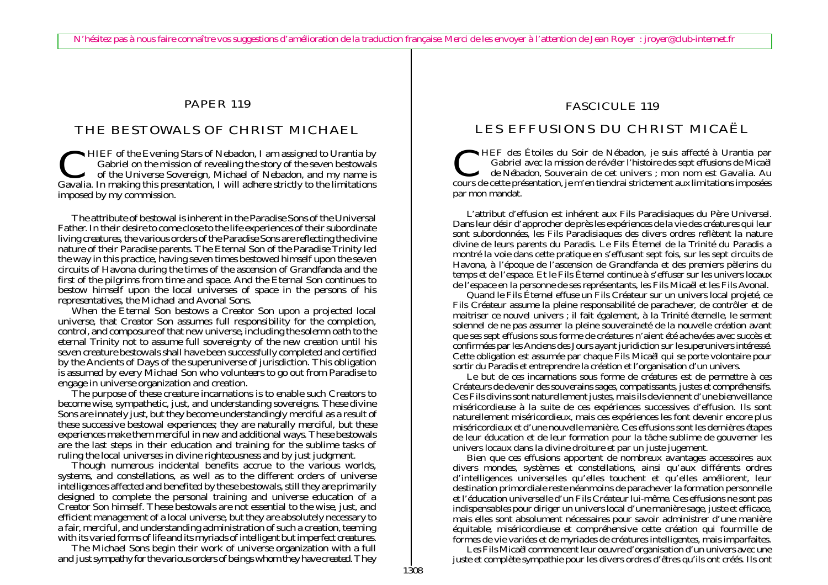# PAPER 119

# THE BESTOWALS OF CHRIST MICHAEL

CHIEF of the Evening Stars of Nebadon, I am assigned to Urantia by Gabriel on the mission of revealing the story of the seven bestowals of the Universe Sovereign, Michael of Nebadon, and my name is Gavalia. In making this presentation, I will adhere strictly to the limitations imposed by my commission.

The attribute of bestowal is inherent in the Paradise Sons of the Universal Father. In their desire to come close to the life experiences of their subordinate living creatures, the various orders of the Paradise Sons are reflecting the divine nature of their Paradise parents. The Eternal Son of the Paradise Trinity led the way in this practice, having seven times bestowed himself upon the seven circuits of Havona during the times of the ascension of Grandfanda and the first of the pilgrims from time and space. And the Eternal Son continues to bestow himself upon the local universes of space in the persons of his representatives, the Michael and Avonal Sons.

When the Eternal Son bestows a Creator Son upon a projected local universe, that Creator Son assumes full responsibility for the completion, control, and composure of that new universe, including the solemn oath to the eternal Trinity not to assume full sovereignty of the new creation until his seven creature bestowals shall have been successfully completed and certified by the Ancients of Days of the superuniverse of jurisdiction. This obligation is assumed by every Michael Son who volunteers to go out from Paradise to engage in universe organization and creation.

The purpose of these creature incarnations is to enable such Creators to become wise, sympathetic, just, and understanding sovereigns. These divine Sons are innately just, but they become understandingly merciful as a result of these successive bestowal experiences; they are naturally merciful, but these experiences make them merciful in new and additional ways. These bestowals are the last steps in their education and training for the sublime tasks of ruling the local universes in divine righteousness and by just judgment.

Though numerous incidental benefits accrue to the various worlds, systems, and constellations, as well as to the different orders of universe intelligences affected and benefited by these bestowals, still they are primarily designed to complete the personal training and universe education of a Creator Son himself. These bestowals are not essential to the wise, just, and efficient management of a local universe, but they are absolutely necessary to a fair, merciful, and understanding administration of such a creation, teeming with its varied forms of life and its myriads of intelligent but imperfect creatures.

The Michael Sons begin their work of universe organization with a full and just sympathy for the various orders of beings whom they have created. They

# FASCICULE 119

# LES EFFUSIONS DU CHRIST MICAËL

CHEF des Étoiles du Soir de Nébadon, je suis affecté à Urantia par Gabriel avec la mission de révéler l'histoire des sept effusions de Micaël de Nébadon, Souverain de cet univers ; mon nom est Gavalia. Au cours de cette présentation, je m'en tiendrai strictement aux limitations imposées par mon mandat.

L'attribut d'effusion est inhérent aux Fils Paradisiaques du Père Universel. Dans leur désir d'approcher de près les expériences de la vie des créatures qui leur divine de leurs parents du Paradis. Le Fils Éternel de la Trinité du Paradis a montré la voie dans cette pratique en s'effusant sept fois, sur les sept circuits de temps et de l'espace. Et le Fils Éternel continue à s'effuser sur les univers locaux

de l'espace en la personne de ses représentants, les Fils Micaël et les Fils Avonal. Quand le Fils Éternel effuse un Fils Créateur sur un univers local projeté, ce Fils Créateur assume la pleine responsabilité de parachever, de contrôler et de maitriser ce nouvel univers ; il fait également, à la Trinité éternelle, le serment solennel de ne pas assumer la pleine souveraineté de la nouvelle création avant que ses sept effusions sous forme de créatures n'aient été achevées avec succès et confirmées par les Anciens des Jours ayant juridiction sur le superunivers intéressé. Cette obligation est assumée par chaque Fils Micaël qui se porte volontaire pour sortir du Paradis et entreprendre la création et l'organisation d'un univers.

Le but de ces incarnations sous forme de créatures est de permettre à ces Créateurs de devenir des souverains sages, compatissants, justes et compréhensifs. Ces Fils divins sont naturellement justes, mais ils deviennent d'une bienveillance miséricordieuse à la suite de ces expériences successives d'effusion. Ils sont naturellement miséricordieux, mais ces expériences les font devenir encore plus miséricordieux et d'une nouvelle manière. Ces effusions sont les dernières étapes de leur éducation et de leur formation pour la tâche sublime de gouverner les univers locaux dans la divine droiture et par un juste jugement.

Bien que ces effusions apportent de nombreux avantages accessoires aux divers mondes, systèmes et constellations, ainsi qu'aux différents ordres d'intelligences universelles qu'elles touchent et qu'elles améliorent, leur destination primordiale reste néanmoins de parachever la formation personnelle et l'éducation universelle d'un Fils Créateur lui-même. Ces effusions ne sont pas indispensables pour diriger un univers local d'une manière sage, juste et efficace, mais elles sont absolument nécessaires pour savoir administrer d'une manière équitable, miséricordieuse et compréhensive cette création qui fourmille de formes de vie variées et de myriades de créatures intelligentes, mais imparfaites.

Les Fils Micaël commencent leur oeuvre d'organisation d'un univers avec une juste et complète sympathie pour les divers ordres d'êtres qu'ils ont créés. Ils ont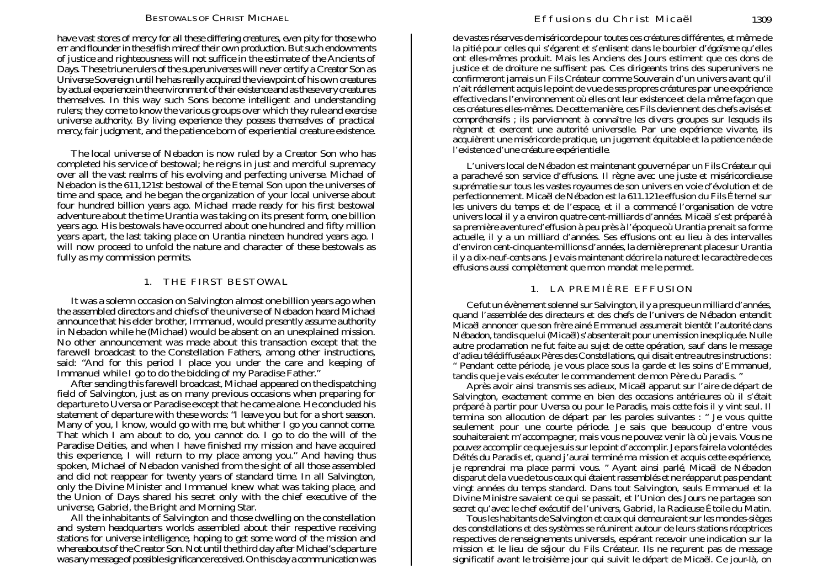have vast stores of mercy for all these differing creatures, even pity for those who err and flounder in the selfish mire of their own production. But such endowments of justice and righteousness will not suffice in the estimate of the Ancients of Days. These triune rulers of the superuniverses will never certify a Creator Son as Universe Sovereign until he has really acquired the viewpoint of his own creatures by actual experience in the environment of their existence and as these very creatures themselves. In this way such Sons become intelligent and understanding rulers; they come to *know* the various groups over which they rule and exercise universe authority. By living experience they possess themselves of practical mercy, fair judgment, and the patience born of experiential creature existence.

The local universe of Nebadon is now ruled by a Creator Son who has completed his service of bestowal; he reigns in just and merciful supremacy over all the vast realms of his evolving and perfecting universe. Michael of Nebadon is the 611,121st bestowal of the Eternal Son upon the universes of time and space, and he began the organization of your local universe about four hundred billion years ago. Michael made ready for his first bestowal adventure about the time Urantia was taking on its present form, one billion years ago. His bestowals have occurred about one hundred and fifty million years apart, the last taking place on Urantia nineteen hundred years ago. I will now proceed to unfold the nature and character of these bestowals as fully as my commission permits.

#### 1. THE FIRST BESTOWAL

It was a solemn occasion on Salvington almost one billion years ago when the assembled directors and chiefs of the universe of Nebadon heard Michael announce that his elder brother, Immanuel, would presently assume authority in Nebadon while he (Michael) would be absent on an unexplained mission. No other announcement was made about this transaction except that the farewell broadcast to the Constellation Fathers, among other instructions, said: "And for this period I place you under the care and keeping of Immanuel while I go to do the bidding of my Paradise Father."

After sending this farewell broadcast, Michael appeared on the dispatching field of Salvington, just as on many previous occasions when preparing for departure to Uversa or Paradise except that he came alone. He concluded his statement of departure with these words: "I leave you but for a short season. Many of you, I know, would go with me, but whither I go you cannot come. That which I am about to do, you cannot do. I go to do the will of the Paradise Deities, and when I have finished my mission and have acquired this experience, I will return to my place among you." And having thus spoken, Michael of Nebadon vanished from the sight of all those assembled and did not reappear for twenty years of standard time. In all Salvington, only the Divine Minister and Immanuel knew what was taking place, and the Union of Days shared his secret only with the chief executive of the universe, Gabriel, the Bright and Morning Star.

All the inhabitants of Salvington and those dwelling on the constellation and system headquarters worlds assembled about their respective receiving stations for universe intelligence, hoping to get some word of the mission and whereabouts of the Creator Son. Not until the third day after Michael's departure was any message of possible significance received. On this day a communication was de vastes réserves de miséricorde pour toutes ces créatures différentes, et même de la pitié pour celles qui s'égarent et s'enlisent dans le bourbier d'égoïsme qu'elles ont elles-mêmes produit. Mais les Anciens des Jours estiment que ces dons de justice et de droiture ne suffisent pas. Ces dirigeants trins des superunivers ne confirmeront jamais un Fils Créateur comme Souverain d'un univers avant qu'il n'ait réellement acquis le point de vue de ses propres créatures par une expérience effective dans l'environnement où elles ont leur existence et de la même façon que ces créatures elles-mêmes. De cette manière, ces Fils deviennent des chefs avisés et compréhensifs ; ils parviennent à *connaître* les divers groupes sur lesquels ils règnent et exercent une autorité universelle. Par une expérience vivante, ils acquièrent une miséricorde pratique, un jugement équitable et la patience née de l'existence d'une créature expérientielle.

L'univers local de Nébadon est maintenant gouverné par un Fils Créateur qui a parachevé son service d'effusions. Il règne avec une juste et miséricordieuse suprématie sur tous les vastes royaumes de son univers en voie d'évolution et de perfectionnement. Micaël de Nébadon est la 611.121e effusion du Fils Éternel sur les univers du temps et de l'espace, et il a commencé l'organisation de votre univers local il y a environ quatre-cent-milliards d'années. Micaël s'est préparé à sa première aventure d'effusion à peu près à l'époque où Urantia prenait sa forme actuelle, il y a un milliard d'années. Ses effusions ont eu lieu à des intervalles d'environ cent-cinquante-millions d'années, la dernière prenant place sur Urantia il y a dix-neuf-cents ans. Je vais maintenant décrire la nature et le caractère de ces effusions aussi complètement que mon mandat me le permet.

#### 1. LA PREMIÈRE EFFUSION

Ce fut un évènement solennel sur Salvington, il y a presque un milliard d'années, quand l'assemblée des directeurs et des chefs de l'univers de Nébadon entendit Micaël annoncer que son frère ainé Emmanuel assumerait bientôt l'autorité dans Nébadon, tandis que lui (Micaël) s'absenterait pour une mission inexpliquée. Nulle autre proclamation ne fut faite au sujet de cette opération, sauf dans le message d'adieu télédiffusé aux Pères des Constellations, qui disait entre autres instructions : " Pendant cette période, je vous place sous la garde et les soins d'Emmanuel, tandis que je vais exécuter le commandement de mon Père du Paradis. "

Après avoir ainsi transmis ses adieux, Micaël apparut sur l'aire de départ de Salvington, exactement comme en bien des occasions antérieures où il s'était préparé à partir pour Uversa ou pour le Paradis, mais cette fois il y vint seul. Il termina son allocution de départ par les paroles suivantes : " Je vous quitte seulement pour une courte période. Je sais que beaucoup d'entre vous souhaiteraient m'accompagner, mais vous ne pouvez venir là où je vais. Vous ne pouvez accomplir ce que je suis sur le point d'accomplir. Je pars faire la volonté des Déités du Paradis et, quand j'aurai terminé ma mission et acquis cette expérience, je reprendrai ma place parmi vous. " Ayant ainsi parlé, Micaël de Nébadon disparut de la vue de tous ceux qui étaient rassemblés et ne réapparut pas pendant vingt années du temps standard. Dans tout Salvington, seuls Emmanuel et la Divine Ministre savaient ce qui se passait, et l'Union des Jours ne partagea son secret qu'avec le chef exécutif de l'univers, Gabriel, la Radieuse Étoile du Matin.

Tous les habitants de Salvington et ceux qui demeuraient sur les mondes-sièges des constellations et des systèmes se réunirent autour de leurs stations réceptrices respectives de renseignements universels, espérant recevoir une indication sur la mission et le lieu de séjour du Fils Créateur. Ils ne reçurent pas de message significatif avant le troisième jour qui suivit le départ de Micaël. Ce jour-là, on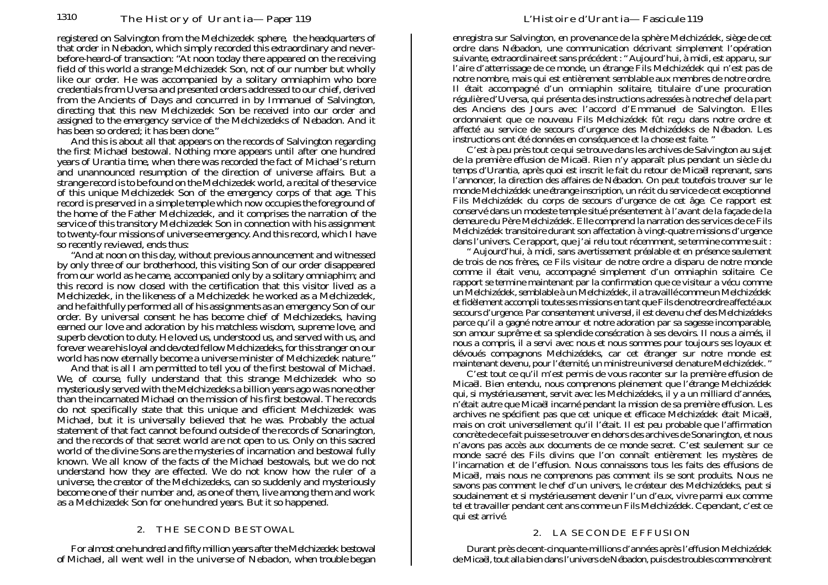registered on Salvington from the Melchizedek sphere, the headquarters of that order in Nebadon, which simply recorded this extraordinary and neverbefore-heard-of transaction: "At noon today there appeared on the receiving field of this world a strange Melchizedek Son, not of our number but wholly like our order. He was accompanied by a solitary omniaphim who bore credentials from Uversa and presented orders addressed to our chief, derived from the Ancients of Days and concurred in by Immanuel of Salvington, directing that this new Melchizedek Son be received into our order and assigned to the emergency service of the Melchizedeks of Nebadon. And it has been so ordered; it has been done."

And this is about all that appears on the records of Salvington regarding the first Michael bestowal. Nothing more appears until after one hundred years of Urantia time, when there was recorded the fact of Michael's return and unannounced resumption of the direction of universe affairs. But a strange record is to be found on the Melchizedek world, a recital of the service of this unique Melchizedek Son of the emergency corps of that age. This record is preserved in a simple temple which now occupies the foreground of the home of the Father Melchizedek, and it comprises the narration of the service of this transitory Melchizedek Son in connection with his assignment to twenty-four missions of universe emergency. And this record, which I have so recently reviewed, ends thus:

"And at noon on this day, without previous announcement and witnessed by only three of our brotherhood, this visiting Son of our order disappeared from our world as he came, accompanied only by a solitary omniaphim; and this record is now closed with the certification that this visitor lived as a Melchizedek, in the likeness of a Melchizedek he worked as a Melchizedek, and he faithfully performed all of his assignments as an emergency Son of our order. By universal consent he has become chief of Melchizedeks, having earned our love and adoration by his matchless wisdom, supreme love, and superb devotion to duty. He loved us, understood us, and served with us, and forever we are his loyal and devoted fellow Melchizedeks, for this stranger on our world has now eternally become a universe minister of Melchizedek nature."

And that is all I am permitted to tell you of the first bestowal of Michael. We, of course, fully understand that this strange Melchizedek who so mysteriously served with the Melchizedeks a billion years ago was none other than the incarnated Michael on the mission of his first bestowal. The records do not specifically state that this unique and efficient Melchizedek was Michael, but it is universally believed that he was. Probably the actual statement of that fact cannot be found outside of the records of Sonarington, and the records of that secret world are not open to us. Only on this sacred world of the divine Sons are the mysteries of incarnation and bestowal fully known. We all know of the facts of the Michael bestowals, but we do not understand how they are effected. We do not know how the ruler of a universe, the creator of the Melchizedeks, can so suddenly and mysteriously become one of their number and, as one of them, live among them and work as a Melchizedek Son for one hundred years. But it so happened.

### 2. THE SECOND BESTOWAL

For almost one hundred and fifty million years after the Melchizedek bestowal of Michael, all went well in the universe of Nebadon, when trouble began enregistra sur Salvington, en provenance de la sphère Melchizédek, siège de cet ordre dans Nébadon, une communication décrivant simplement l'opération suivante, extraordinaire et sans précédent : " Aujourd'hui, à midi, est apparu, sur l'aire d'atterrissage de ce monde, un étrange Fils Melchizédek qui n'est pas de notre nombre, mais qui est entièrement semblable aux membres de notre ordre. Il était accompagné d'un omniaphin solitaire, titulaire d'une procuration régulière d'Uversa, qui présenta des instructions adressées à notre chef de la part des Anciens des Jours avec l'accord d'Emmanuel de Salvington. Elles ordonnaient que ce nouveau Fils Melchizédek fût reçu dans notre ordre et affecté au service de secours d'urgence des Melchizédeks de Nébadon. Les instructions ont été données en conséquence et la chose est faite. "

C'est à peu près tout ce qui se trouve dans les archives de Salvington au sujet de la première effusion de Micaël. Rien n'y apparaît plus pendant un siècle du temps d'Urantia, après quoi est inscrit le fait du retour de Micaël reprenant, sans l'annoncer, la direction des affaires de Nébadon. On peut toutefois trouver sur le monde Melchizédek une étrange inscription, un récit du service de cet exceptionnel Fils Melchizédek du corps de secours d'urgence de cet âge. Ce rapport est conservé dans un modeste temple situé présentement à l'avant de la façade de la demeure du Père Melchizédek. Elle comprend la narration des services de ce Fils Melchizédek transitoire durant son affectation à vingt-quatre missions d'urgence dans l'univers. Ce rapport, que j'ai relu tout récemment, se termine comme suit :

" Aujourd'hui, à midi, sans avertissement préalable et en présence seulement de trois de nos frères, ce Fils visiteur de notre ordre a disparu de notre monde comme il était venu, accompagné simplement d'un omniaphin solitaire. Ce rapport se termine maintenant par la confirmation que ce visiteur a vécu comme un Melchizédek, semblable à un Melchizédek, il a travaillé comme un Melchizédek et fidèlement accompli toutes ses missions en tant que Fils de notre ordre affecté aux secours d'urgence. Par consentement universel, il est devenu chef des Melchizédeks parce qu'il a gagné notre amour et notre adoration par sa sagesse incomparable, son amour suprême et sa splendide consécration à ses devoirs. Il nous a aimés, il nous a compris, il a servi avec nous et nous sommes pour toujours ses loyaux et dévoués compagnons Melchizédeks, car cet étranger sur notre monde est maintenant devenu, pour l'éternité, un ministre universel de nature Melchizédek. "

C'est tout ce qu'il m'est permis de vous raconter sur la première effusion de Micaël. Bien entendu, nous comprenons pleinement que l'étrange Melchizédek qui, si mystérieusement, servit avec les Melchizédeks, il y a un milliard d'années, n'était autre que Micaël incarné pendant la mission de sa première effusion. Les archives ne spécifient pas que cet unique et efficace Melchizédek était Micaël, mais on croit universellement qu'il l'était. Il est peu probable que l'affirmation concrète de ce fait puisse se trouver en dehors des archives de Sonarington, et nous n'avons pas accès aux documents de ce monde secret. C'est seulement sur ce monde sacré des Fils divins que l'on connaît entièrement les mystères de l'incarnation et de l'effusion. Nous connaissons tous les faits des effusions de Micaël, mais nous ne comprenons pas comment ils se sont produits. Nous ne savons pas comment le chef d'un univers, le créateur des Melchizédeks, peut si soudainement et si mystérieusement devenir l'un d'eux, vivre parmi eux comme tel et travailler pendant cent ans comme un Fils Melchizédek. Cependant, c'est ce qui est arrivé.

# 2. LA SECONDE EFFUSION

Durant près de cent-cinquante-millions d'années après l'effusion Melchizédek de Micaël, tout alla bien dans l'univers de Nébadon, puis des troubles commencèrent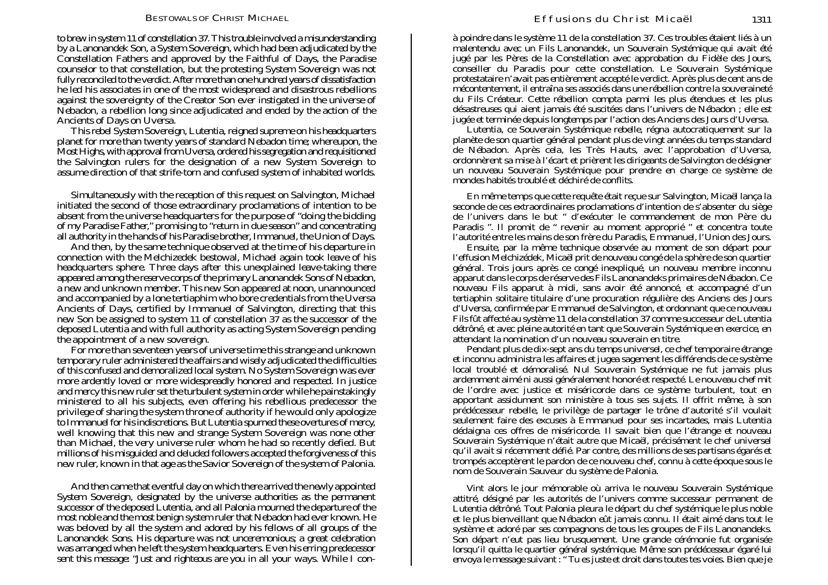to brew in system 11 of constellation 37. This trouble involved a misunderstanding by a Lanonandek Son, a System Sovereign, which had been adjudicated by the Constellation Fathers and approved by the Faithful of Days, the Paradise counselor to that constellation, but the protesting System Sovereign was not fully reconciled to the verdict. After more than one hundred years of dissatisfaction he led his associates in one of the most widespread and disastrous rebellions against the sovereignty of the Creator Son ever instigated in the universe of Nebadon, a rebellion long since adjudicated and ended by the action of the Ancients of Days on Uversa.

This rebel System Sovereign, Lutentia, reigned supreme on his headquarters planet for more than twenty years of standard Nebadon time; whereupon, the Most Highs, with approval from Uversa, ordered his segregation and requisitioned the Salvington rulers for the designation of a new System Sovereign to assume direction of that strife-torn and confused system of inhabited worlds.

Simultaneously with the reception of this request on Salvington, Michael initiated the second of those extraordinary proclamations of intention to be absent from the universe headquarters for the purpose of "doing the bidding of my Paradise Father," promising to "return in due season" and concentrating all authority in the hands of his Paradise brother, Immanuel, the Union of Days.

And then, by the same technique observed at the time of his departure in connection with the Melchizedek bestowal, Michael again took leave of his headquarters sphere. Three days after this unexplained leave-taking there appeared among the reserve corps of the primary Lanonandek Sons of Nebadon, a new and unknown member. This new Son appeared at noon, unannounced and accompanied by a lone tertiaphim who bore credentials from the Uversa Ancients of Days, certified by Immanuel of Salvington, directing that this new Son be assigned to system 11 of constellation 37 as the successor of the deposed Lutentia and with full authority as acting System Sovereign pending the appointment of a new sovereign.

For more than seventeen years of universe time this strange and unknown temporary ruler administered the affairs and wisely adjudicated the difficulties of this confused and demoralized local system. No System Sovereign was ever more ardently loved or more widespreadly honored and respected. In justice and mercy this new ruler set the turbulent system in order while he painstakingly ministered to all his subjects, even offering his rebellious predecessor the privilege of sharing the system throne of authority if he would only apologize to Immanuel for his indiscretions. But Lutentia spurned these overtures of mercy, well knowing that this new and strange System Sovereign was none other than Michael, the very universe ruler whom he had so recently defied. But millions of his misguided and deluded followers accepted the forgiveness of this new ruler, known in that age as the Savior Sovereign of the system of Palonia.

And then came that eventful day on which there arrived the newly appointed System Sovereign, designated by the universe authorities as the permanent successor of the deposed Lutentia, and all Palonia mourned the departure of the most noble and the most benign system ruler that Nebadon had ever known. He was beloved by all the system and adored by his fellows of all groups of the Lanonandek Sons. His departure was not unceremonious; a great celebration was arranged when he left the system headquarters. Even his erring predecessor sent this message: "Just and righteous are you in all your ways. While I conà poindre dans le système 11 de la constellation 37. Ces troubles étaient liés à un malentendu avec un Fils Lanonandek, un Souverain Systémique qui avait été jugé par les Pères de la Constellation avec approbation du Fidèle des Jours, conseiller du Paradis pour cette constellation. Le Souverain Systémique protestataire n'avait pas entièrement accepté le verdict. Après plus de cent ans de mécontentement, il entraîna ses associés dans une rébellion contre la souveraineté du Fils Créateur. Cette rébellion compta parmi les plus étendues et les plus désastreuses qui aient jamais été suscitées dans l'univers de Nébadon ; elle est jugée et terminée depuis longtemps par l'action des Anciens des Jours d'Uversa.

Lutentia, ce Souverain Systémique rebelle, régna autocratiquement sur la planète de son quartier général pendant plus de vingt années du temps standard de Nébadon. Après cela, les Très Hauts, avec l'approbation d'Uversa, ordonnèrent sa mise à l'écart et prièrent les dirigeants de Salvington de désigner un nouveau Souverain Systémique pour prendre en charge ce système de mondes habités troublé et déchiré de conflits.

En même temps que cette requête était reçue sur Salvington, Micaël lança la seconde de ces extraordinaires proclamations d'intention de s'absenter du siège de l'univers dans le but " d'exécuter le commandement de mon Père du Paradis ". Il promit de " revenir au moment approprié " et concentra toute l'autorité entre les mains de son frère du Paradis, Emmanuel, l'Union des Jours.

Ensuite, par la même technique observée au moment de son départ pour l'effusion Melchizédek, Micaël prit de nouveau congé de la sphère de son quartier général. Trois jours après ce congé inexpliqué, un nouveau membre inconnu apparut dans le corps de réserve des Fils Lanonandeks primaires de Nébadon. Ce nouveau Fils apparut à midi, sans avoir été annoncé, et accompagné d'un tertiaphin solitaire titulaire d'une procuration régulière des Anciens des Jours d'Uversa, confirmée par Emmanuel de Salvington, et ordonnant que ce nouveau Fils fût affecté au système 11 de la constellation 37 comme successeur de Lutentia détrôné, et avec pleine autorité en tant que Souverain Systémique en exercice, en attendant la nomination d'un nouveau souverain en titre.

Pendant plus de dix-sept ans du temps universel, ce chef temporaire étrange et inconnu administra les affaires et jugea sagement les différends de ce système local troublé et démoralisé. Nul Souverain Systémique ne fut jamais plus ardemment aimé ni aussi généralement honoré et respecté. Le nouveau chef mit de l'ordre avec justice et miséricorde dans ce système turbulent, tout en apportant assidument son ministère à tous ses sujets. Il offrit même, à son prédécesseur rebelle, le privilège de partager le trône d'autorité s'il voulait seulement faire des excuses à Emmanuel pour ses incartades, mais Lutentia dédaigna ces offres de miséricorde. Il savait bien que l'étrange et nouveau Souverain Systémique n'était autre que Micaël, précisément le chef universel qu'il avait si récemment défié. Par contre, des millions de ses partisans égarés et trompés acceptèrent le pardon de ce nouveau chef, connu à cette époque sous le nom de Souverain Sauveur du système de Palonia.

Vint alors le jour mémorable où arriva le nouveau Souverain Systémique attitré, désigné par les autorités de l'univers comme successeur permanent de Lutentia détrôné. Tout Palonia pleura le départ du chef systémique le plus noble et le plus bienveillant que Nébadon eût jamais connu. Il était aimé dans tout le système et adoré par ses compagnons de tous les groupes de Fils Lanonandeks. Son départ n'eut pas lieu brusquement. Une grande cérémonie fut organisée lorsqu'il quitta le quartier général systémique. Même son prédécesseur égaré lui envoya le message suivant : " Tu es juste et droit dans toutes tes voies. Bien que je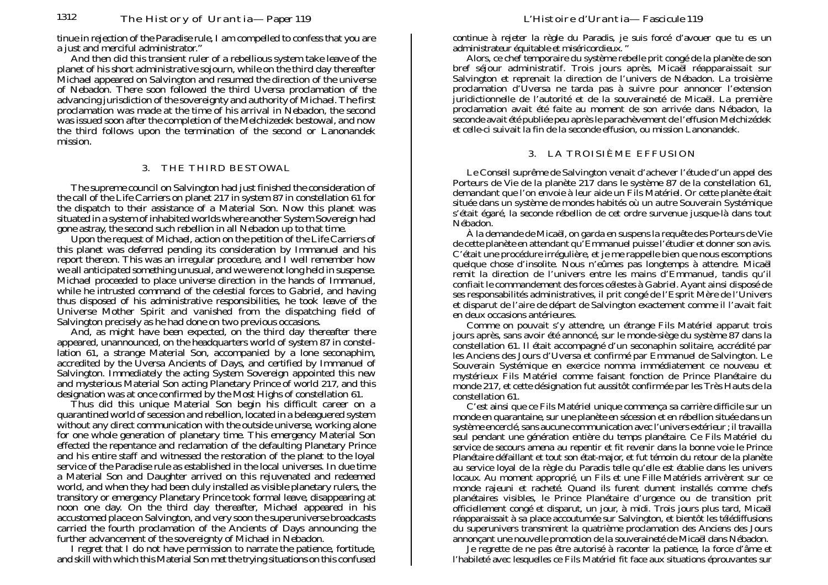tinue in rejection of the Paradise rule, I am compelled to confess that you are a just and merciful administrator."

And then did this transient ruler of a rebellious system take leave of the planet of his short administrative sojourn, while on the third day thereafter Michael appeared on Salvington and resumed the direction of the universe of Nebadon. There soon followed the third Uversa proclamation of the advancing jurisdiction of the sovereignty and authority of Michael. The first proclamation was made at the time of his arrival in Nebadon, the second was issued soon after the completion of the Melchizedek bestowal, and now the third follows upon the termination of the second or Lanonandek mission.

#### 3. THE THIRD BESTOWAL

The supreme council on Salvington had just finished the consideration of the call of the Life Carriers on planet 217 in system 87 in constellation 61 for the dispatch to their assistance of a Material Son. Now this planet was situated in a system of inhabited worlds where another System Sovereign had gone astray, the second such rebellion in all Nebadon up to that time.

Upon the request of Michael, action on the petition of the Life Carriers of this planet was deferred pending its consideration by Immanuel and his report thereon. This was an irregular procedure, and I well remember how we all anticipated something unusual, and we were not long held in suspense. Michael proceeded to place universe direction in the hands of Immanuel, while he intrusted command of the celestial forces to Gabriel, and having thus disposed of his administrative responsibilities, he took leave of the Universe Mother Spirit and vanished from the dispatching field of Salvington precisely as he had done on two previous occasions.

And, as might have been expected, on the third day thereafter there appeared, unannounced, on the headquarters world of system 87 in constellation 61, a strange Material Son, accompanied by a lone seconaphim, accredited by the Uversa Ancients of Days, and certified by Immanuel of Salvington. Immediately the acting System Sovereign appointed this new and mysterious Material Son acting Planetary Prince of world 217, and this designation was at once confirmed by the Most Highs of constellation 61.

Thus did this unique Material Son begin his difficult career on a quarantined world of secession and rebellion, located in a beleaguered system without any direct communication with the outside universe, working alone for one whole generation of planetary time. This emergency Material Son effected the repentance and reclamation of the defaulting Planetary Prince and his entire staff and witnessed the restoration of the planet to the loyal service of the Paradise rule as established in the local universes. In due time a Material Son and Daughter arrived on this rejuvenated and redeemed world, and when they had been duly installed as visible planetary rulers, the transitory or emergency Planetary Prince took formal leave, disappearing at noon one day. On the third day thereafter, Michael appeared in his accustomed place on Salvington, and very soon the superuniverse broadcasts carried the fourth proclamation of the Ancients of Days announcing the further advancement of the sovereignty of Michael in Nebadon.

I regret that I do not have permission to narrate the patience, fortitude, and skill with which this Material Son met the trying situations on this confused continue à rejeter la règle du Paradis, je suis forcé d'avouer que tu es un administrateur équitable et miséricordieux. "

Alors, ce chef temporaire du système rebelle prit congé de la planète de son bref séjour administratif. Trois jours après, Micaël réapparaissait sur Salvington et reprenait la direction de l'univers de Nébadon. La troisième proclamation d'Uversa ne tarda pas à suivre pour annoncer l'extension juridictionnelle de l'autorité et de la souveraineté de Micaël. La première proclamation avait été faite au moment de son arrivée dans Nébadon, la seconde avait été publiée peu après le parachèvement de l'effusion Melchizédek et celle-ci suivait la fin de la seconde effusion, ou mission Lanonandek.

# 3. LA TROISIÈME EFFUSION

Le Conseil suprême de Salvington venait d'achever l'étude d'un appel des Porteurs de Vie de la planète 217 dans le système 87 de la constellation 61, demandant que l'on envoie à leur aide un Fils Matériel. Or cette planète était située dans un système de mondes habités où un autre Souverain Systémique s'était égaré, la seconde rébellion de cet ordre survenue jusque-là dans tout Nébadon.

À la demande de Micaël, on garda en suspens la requête des Porteurs de Vie de cette planète en attendant qu'Emmanuel puisse l'étudier et donner son avis. C'était une procédure irrégulière, et je me rappelle bien que nous escomptions quelque chose d'insolite. Nous n'eûmes pas longtemps à attendre. Micaël remit la direction de l'univers entre les mains d'Emmanuel, tandis qu'il confiait le commandement des forces célestes à Gabriel. Ayant ainsi disposé de ses responsabilités administratives, il prit congé de l'Esprit Mère de l'Univers et disparut de l'aire de départ de Salvington exactement comme il l'avait fait en deux occasions antérieures.

Comme on pouvait s'y attendre, un étrange Fils Matériel apparut trois jours après, sans avoir été annoncé, sur le monde-siège du système 87 dans la constellation 61. Il était accompagné d'un seconaphin solitaire, accrédité par les Anciens des Jours d'Uversa et confirmé par Emmanuel de Salvington. Le Souverain Systémique en exercice nomma immédiatement ce nouveau et mystérieux Fils Matériel comme faisant fonction de Prince Planétaire du monde 217, et cette désignation fut aussitôt confirmée par les Très Hauts de la constellation 61.

C'est ainsi que ce Fils Matériel unique commença sa carrière difficile sur un monde en quarantaine, sur une planète en sécession et en rébellion située dans un système encerclé, sans aucune communication avec l'univers extérieur ; il travailla seul pendant une génération entière du temps planétaire. Ce Fils Matériel du service de secours amena au repentir et fit revenir dans la bonne voie le Prince Planétaire défaillant et tout son état-major, et fut témoin du retour de la planète au service loyal de la règle du Paradis telle qu'elle est établie dans les univers locaux. Au moment approprié, un Fils et une Fille Matériels arrivèrent sur ce monde rajeuni et racheté. Quand ils furent dument installés comme chefs planétaires visibles, le Prince Planétaire d'urgence ou de transition prit officiellement congé et disparut, un jour, à midi. Trois jours plus tard, Micaël réapparaissait à sa place accoutumée sur Salvington, et bientôt les télédiffusions du superunivers transmirent la quatrième proclamation des Anciens des Jours annonçant une nouvelle promotion de la souveraineté de Micaël dans Nébadon.

Je regrette de ne pas être autorisé à raconter la patience, la force d'âme et l'habileté avec lesquelles ce Fils Matériel fit face aux situations éprouvantes sur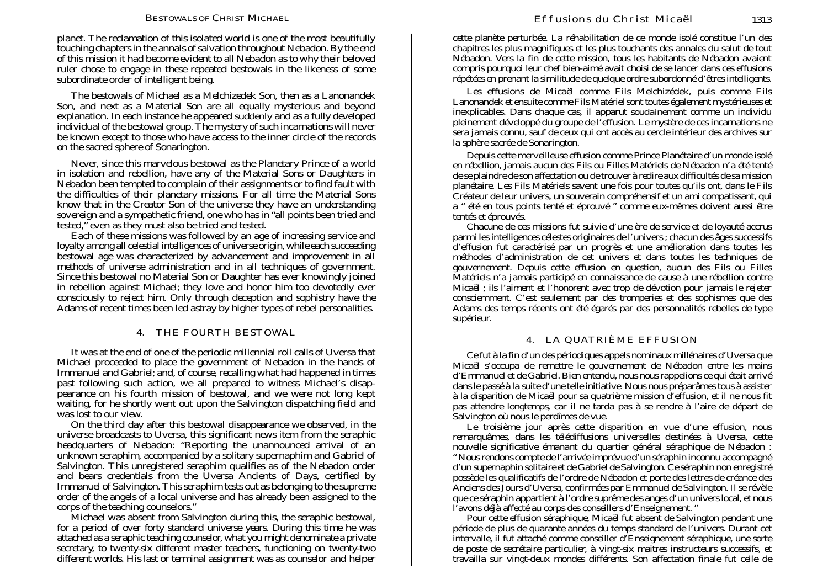planet. The reclamation of this isolated world is one of the most beautifully touching chapters in the annals of salvation throughout Nebadon. By the end of this mission it had become evident to all Nebadon as to why their beloved ruler chose to engage in these repeated bestowals in the likeness of some subordinate order of intelligent being.

The bestowals of Michael as a Melchizedek Son, then as a Lanonandek Son, and next as a Material Son are all equally mysterious and beyond explanation. In each instance he appeared *suddenly* and as a fully developed individual of the bestowal group. The mystery of such incarnations will never be known except to those who have access to the inner circle of the records on the sacred sphere of Sonarington.

Never, since this marvelous bestowal as the Planetary Prince of a world in isolation and rebellion, have any of the Material Sons or Daughters in Nebadon been tempted to complain of their assignments or to find fault with the difficulties of their planetary missions. For all time the Material Sons know that in the Creator Son of the universe they have an understanding sovereign and a sympathetic friend, one who has in "all points been tried and tested," even as they must also be tried and tested.

Each of these missions was followed by an age of increasing service and loyalty among all celestial intelligences of universe origin, while each succeeding bestowal age was characterized by advancement and improvement in all methods of universe administration and in all techniques of government. Since this bestowal no Material Son or Daughter has ever knowingly joined in rebellion against Michael; they love and honor him too devotedly ever consciously to reject him. Only through deception and sophistry have the Adams of recent times been led astray by higher types of rebel personalities.

#### 4. THE FOURTH BESTOWAL

It was at the end of one of the periodic millennial roll calls of Uversa that Michael proceeded to place the government of Nebadon in the hands of Immanuel and Gabriel; and, of course, recalling what had happened in times past following such action, we all prepared to witness Michael's disappearance on his fourth mission of bestowal, and we were not long kept waiting, for he shortly went out upon the Salvington dispatching field and was lost to our view.

On the third day after this bestowal disappearance we observed, in the universe broadcasts to Uversa, this significant news item from the seraphic headquarters of Nebadon: "Reporting the unannounced arrival of an unknown seraphim, accompanied by a solitary supernaphim and Gabriel of Salvington. This unregistered seraphim qualifies as of the Nebadon order and bears credentials from the Uversa Ancients of Days, certified by Immanuel of Salvington. This seraphim tests out as belonging to the supreme order of the angels of a local universe and has already been assigned to the corps of the teaching counselors."

Michael was absent from Salvington during this, the seraphic bestowal, for a period of over forty standard universe years. During this time he was attached as a seraphic teaching counselor, what you might denominate a private secretary, to twenty-six different master teachers, functioning on twenty-two different worlds. His last or terminal assignment was as counselor and helper cette planète perturbée. La réhabilitation de ce monde isolé constitue l'un des chapitres les plus magnifiques et les plus touchants des annales du salut de tout Nébadon. Vers la fin de cette mission, tous les habitants de Nébadon avaient compris pourquoi leur chef bien-aimé avait choisi de se lancer dans ces effusions répétées en prenant la similitude de quelque ordre subordonné d'êtres intelligents.

Les effusions de Micaël comme Fils Melchizédek, puis comme Fils Lanonandek et ensuite comme Fils Matériel sont toutes également mystérieuses et inexplicables. Dans chaque cas, il apparut *soudainement* comme un individu pleinement développé du groupe de l'effusion. Le mystère de ces incarnations ne sera jamais connu, sauf de ceux qui ont accès au cercle intérieur des archives sur la sphère sacrée de Sonarington.

Depuis cette merveilleuse effusion comme Prince Planétaire d'un monde isolé en rébellion, jamais aucun des Fils ou Filles Matériels de Nébadon n'a été tenté de se plaindre de son affectation ou de trouver à redire aux difficultés de sa mission planétaire. Les Fils Matériels savent une fois pour toutes qu'ils ont, dans le Fils Créateur de leur univers, un souverain compréhensif et un ami compatissant, qui <sup>a</sup>" été en tous points tenté et éprouvé " comme eux-mêmes doivent aussi être tentés et éprouvés.

Chacune de ces missions fut suivie d'une ère de service et de loyauté accrus parmi les intelligences célestes originaires de l'univers ; chacun des âges successifs d'effusion fut caractérisé par un progrès et une amélioration dans toutes les méthodes d'administration de cet univers et dans toutes les techniques de gouvernement. Depuis cette effusion en question, aucun des Fils ou Filles Matériels n'a jamais participé en connaissance de cause à une rébellion contre Micaël ; ils l'aiment et l'honorent avec trop de dévotion pour jamais le rejeter consciemment. C'est seulement par des tromperies et des sophismes que des Adams des temps récents ont été égarés par des personnalités rebelles de type supérieur.

# 4. LA QUATRIÈME EFFUSION

Ce fut à la fin d'un des périodiques appels nominaux millénaires d'Uversa que Micaël s'occupa de remettre le gouvernement de Nébadon entre les mains d'Emmanuel et de Gabriel. Bien entendu, nous nous rappelions ce qui était arrivé dans le passé à la suite d'une telle initiative. Nous nous préparâmes tous à assister à la disparition de Micaël pour sa quatrième mission d'effusion, et il ne nous fit pas attendre longtemps, car il ne tarda pas à se rendre à l'aire de départ de Salvington où nous le perdîmes de vue.

Le troisième jour après cette disparition en vue d'une effusion, nous remarquâmes, dans les télédiffusions universelles destinées à Uversa, cette nouvelle significative émanant du quartier général séraphique de Nébadon : " Nous rendons compte de l'arrivée imprévue d'un séraphin inconnu accompagné d'un supernaphin solitaire et de Gabriel de Salvington. Ce séraphin non enregistré possède les qualificatifs de l'ordre de Nébadon et porte des lettres de créance des Anciens des Jours d'Uversa, confirmées par Emmanuel de Salvington. Il se révèle que ce séraphin appartient à l'ordre suprême des anges d'un univers local, et nous l'avons déjà affecté au corps des conseillers d'Enseignement. "

Pour cette effusion séraphique, Micaël fut absent de Salvington pendant une période de plus de quarante années du temps standard de l'univers. Durant cet intervalle, il fut attaché comme conseiller d'Enseignement séraphique, une sorte de poste de secrétaire particulier, à vingt-six maitres instructeurs successifs, et travailla sur vingt-deux mondes différents. Son affectation finale fut celle de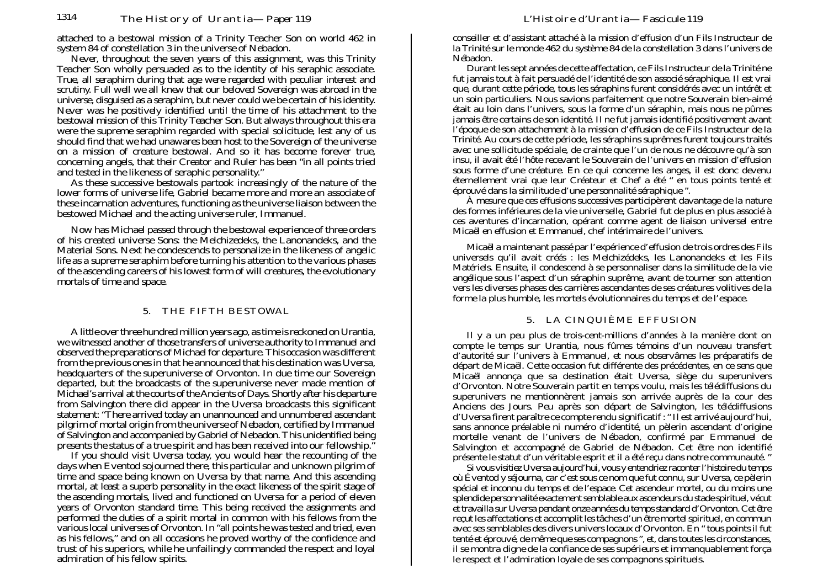attached to a bestowal mission of a Trinity Teacher Son on world 462 in system 84 of constellation 3 in the universe of Nebadon.

Never, throughout the seven years of this assignment, was this Trinity Teacher Son wholly persuaded as to the identity of his seraphic associate. True, all seraphim during that age were regarded with peculiar interest and scrutiny. Full well we all knew that our beloved Sovereign was abroad in the universe, disguised as a seraphim, but never could we be certain of his identity. Never was he positively identified until the time of his attachment to the bestowal mission of this Trinity Teacher Son. But always throughout this era were the supreme seraphim regarded with special solicitude, lest any of us should find that we had unawares been host to the Sovereign of the universe on a mission of creature bestowal. And so it has become forever true, concerning angels, that their Creator and Ruler has been "in all points tried and tested in the likeness of seraphic personality."

As these successive bestowals partook increasingly of the nature of the lower forms of universe life, Gabriel became more and more an associate of these incarnation adventures, functioning as the universe liaison between the bestowed Michael and the acting universe ruler, Immanuel.

Now has Michael passed through the bestowal experience of three orders of his created universe Sons: the Melchizedeks, the Lanonandeks, and the Material Sons. Next he condescends to personalize in the likeness of angelic life as a supreme seraphim before turning his attention to the various phases of the ascending careers of his lowest form of will creatures, the evolutionary mortals of time and space.

#### 5. THE FIFTH BESTOWAL

A little over three hundred million years ago, as time is reckoned on Urantia, we witnessed another of those transfers of universe authority to Immanuel and observed the preparations of Michael for departure. This occasion was different from the previous ones in that he announced that his destination was Uversa, headquarters of the superuniverse of Orvonton. In due time our Sovereign departed, but the broadcasts of the superuniverse never made mention of Michael's arrival at the courts of the Ancients of Days. Shortly after his departure from Salvington there did appear in the Uversa broadcasts this significant statement: "There arrived today an unannounced and unnumbered ascendant pilgrim of mortal origin from the universe of Nebadon, certified by Immanuel of Salvington and accompanied by Gabriel of Nebadon. This unidentified being presents the status of a true spirit and has been received into our fellowship."

If you should visit Uversa today, you would hear the recounting of the days when Eventod sojourned there, this particular and unknown pilgrim of time and space being known on Uversa by that name. And this ascending mortal, at least a superb personality in the exact likeness of the spirit stage of the ascending mortals, lived and functioned on Uversa for a period of eleven years of Orvonton standard time. This being received the assignments and performed the duties of a spirit mortal in common with his fellows from the various local universes of Orvonton. In "all points he was tested and tried, even as his fellows," and on all occasions he proved worthy of the confidence and trust of his superiors, while he unfailingly commanded the respect and loyal admiration of his fellow spirits.

conseiller et d'assistant attaché à la mission d'effusion d'un Fils Instructeur de la Trinité sur le monde 462 du système 84 de la constellation 3 dans l'univers de Nébadon.

Durant les sept années de cette affectation, ce Fils Instructeur de la Trinité ne fut jamais tout à fait persuadé de l'identité de son associé séraphique. Il est vrai que, durant cette période, tous les séraphins furent considérés avec un intérêt et un soin particuliers. Nous savions parfaitement que notre Souverain bien-aimé était au loin dans l'univers, sous la forme d'un séraphin, mais nous ne pûmes jamais être certains de son identité. Il ne fut jamais identifié positivement avant l'époque de son attachement à la mission d'effusion de ce Fils Instructeur de la Trinité. Au cours de cette période, les séraphins suprêmes furent toujours traités avec une sollicitude spéciale, de crainte que l'un de nous ne découvre qu'à son insu, il avait été l'hôte recevant le Souverain de l'univers en mission d'effusion sous forme d'une créature. En ce qui concerne les anges, il est donc devenu éternellement vrai que leur Créateur et Chef a été " en tous points tenté et

A mesure que ces effusions successives participèrent davantage de la nature des formes inférieures de la vie universelle, Gabriel fut de plus en plus associé à ces aventures d'incarnation, opérant comme agent de liaison universel entre Micaël en effusion et Emmanuel, chef intérimaire de l'univers.

Micaël a maintenant passé par l'expérience d'effusion de trois ordres des Fils universels qu'il avait créés : les Melchizédeks, les Lanonandeks et les Fils Matériels. Ensuite, il condescend à se personnaliser dans la similitude de la vie angélique sous l'aspect d'un séraphin suprême, avant de tourner son attention vers les diverses phases des carrières ascendantes de ses créatures volitives de la forme la plus humble, les mortels évolutionnaires du temps et de l'espace.

#### 5. LA CINQUIÈME EFFUSION

Il y a un peu plus de trois-cent-millions d'années à la manière dont on compte le temps sur Urantia, nous fûmes témoins d'un nouveau transfert d'autorité sur l'univers à Emmanuel, et nous observâmes les préparatifs de départ de Micaël. Cette occasion fut différente des précédentes, en ce sens que Micaël annonça que sa destination était Uversa, siège du superunivers d'Orvonton. Notre Souverain partit en temps voulu, mais les télédiffusions du superunivers ne mentionnèrent jamais son arrivée auprès de la cour des Anciens des Jours. Peu après son départ de Salvington, les télédiffusions d'Uversa firent paraître ce compte rendu significatif : " Il est arrivé aujourd'hui, sans annonce préalable ni numéro d'identité, un pèlerin ascendant d'origine mortelle venant de l'univers de Nébadon, confirmé par Emmanuel de Salvington et accompagné de Gabriel de Nébadon. Cet être non identifié présente le statut d'un véritable esprit et il a été reçu dans notre communauté. "

où Eventod y séjourna, car c'est sous ce nom que fut connu, sur Uversa, ce pèlerin spécial et inconnu du temps et de l'espace. Cet ascendeur mortel, ou du moins une splendide personnalité exactement semblable aux ascendeurs du stade spirituel, vécut et travailla sur Uversa pendant onze années du temps standard d'Orvonton. Cet être reçut les affectations et accomplit les tâches d'un être mortel spirituel, en commun avec ses semblables des divers univers locaux d'Orvonton. En " tous points il fut tenté et éprouvé, de même que ses compagnons ", et, dans toutes les circonstances, il se montra digne de la confiance de ses supérieurs et immanquablement força le respect et l'admiration loyale de ses compagnons spirituels.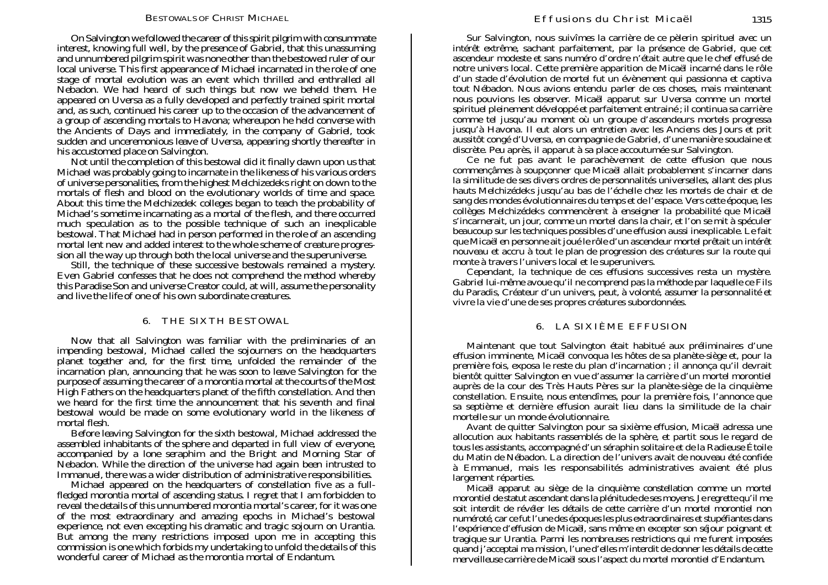On Salvington we followed the career of this spirit pilgrim with consummate interest, knowing full well, by the presence of Gabriel, that this unassuming and unnumbered pilgrim spirit was none other than the bestowed ruler of our local universe. This first appearance of Michael incarnated in the role of one stage of mortal evolution was an event which thrilled and enthralled all Nebadon. We had heard of such things but now we beheld them. He appeared on Uversa as a fully developed and perfectly trained spirit mortal and, as such, continued his career up to the occasion of the advancement of a group of ascending mortals to Havona; whereupon he held converse with the Ancients of Days and immediately, in the company of Gabriel, took sudden and unceremonious leave of Uversa, appearing shortly thereafter in his accustomed place on Salvington.

Not until the completion of this bestowal did it finally dawn upon us that Michael was probably going to incarnate in the likeness of his various orders of universe personalities, from the highest Melchizedeks right on down to the mortals of flesh and blood on the evolutionary worlds of time and space. About this time the Melchizedek colleges began to teach the probability of Michael's sometime incarnating as a mortal of the flesh, and there occurred much speculation as to the possible technique of such an inexplicable bestowal. That Michael had in person performed in the role of an ascending mortal lent new and added interest to the whole scheme of creature progression all the way up through both the local universe and the superuniverse.

Still, the technique of these successive bestowals remained a mystery. Even Gabriel confesses that he does not comprehend the method whereby this Paradise Son and universe Creator could, at will, assume the personality and live the life of one of his own subordinate creatures.

#### 6. THE SIXTH BESTOWAL

Now that all Salvington was familiar with the preliminaries of an impending bestowal, Michael called the sojourners on the headquarters planet together and, for the first time, unfolded the remainder of the incarnation plan, announcing that he was soon to leave Salvington for the purpose of assuming the career of a morontia mortal at the courts of the Most High Fathers on the headquarters planet of the fifth constellation. And then we heard for the first time the announcement that his seventh and final bestowal would be made on some evolutionary world in the likeness of mortal flesh.

Before leaving Salvington for the sixth bestowal, Michael addressed the assembled inhabitants of the sphere and departed in full view of everyone, accompanied by a lone seraphim and the Bright and Morning Star of Nebadon. While the direction of the universe had again been intrusted to Immanuel, there was a wider distribution of administrative responsibilities.

Michael appeared on the headquarters of constellation five as a fullfledged morontia mortal of ascending status. I regret that I am forbidden to reveal the details of this unnumbered morontia mortal's career, for it was one of the most extraordinary and amazing epochs in Michael's bestowal experience, not even excepting his dramatic and tragic sojourn on Urantia. But among the many restrictions imposed upon me in accepting this commission is one which forbids my undertaking to unfold the details of this wonderful career of Michael as the morontia mortal of Endantum.

Sur Salvington, nous suivîmes la carrière de ce pèlerin spirituel avec un intérêt extrême, sachant parfaitement, par la présence de Gabriel, que cet ascendeur modeste et sans numéro d'ordre n'était autre que le chef effusé de notre univers local. Cette première apparition de Micaël incarné dans le rôle d'un stade d'évolution de mortel fut un évènement qui passionna et captiva tout Nébadon. Nous avions entendu parler de ces choses, mais maintenant nous pouvions les observer. Micaël apparut sur Uversa comme un mortel spirituel pleinement développé et parfaitement entrainé ; il continua sa carrière comme tel jusqu'au moment où un groupe d'ascendeurs mortels progressa jusqu'à Havona. Il eut alors un entretien avec les Anciens des Jours et prit aussitôt congé d'Uversa, en compagnie de Gabriel, d'une manière soudaine et discrète. Peu après, il apparut à sa place accoutumée sur Salvington.

Ce ne fut pas avant le parachèvement de cette effusion que nous commençâmes à soupçonner que Micaël allait probablement s'incarner dans la similitude de ses divers ordres de personnalités universelles, allant des plus hauts Melchizédeks jusqu'au bas de l'échelle chez les mortels de chair et de sang des mondes évolutionnaires du temps et de l'espace. Vers cette époque, les collèges Melchizédeks commencèrent à enseigner la probabilité que Micaël s'incarnerait, un jour, comme un mortel dans la chair, et l'on se mit à spéculer beaucoup sur les techniques possibles d'une effusion aussi inexplicable. Le fait que Micaël en personne ait joué le rôle d'un ascendeur mortel prêtait un intérêt nouveau et accru à tout le plan de progression des créatures sur la route qui monte à travers l'univers local et le superunivers.

Cependant, la technique de ces effusions successives resta un mystère. Gabriel lui-même avoue qu'il ne comprend pas la méthode par laquelle ce Fils du Paradis, Créateur d'un univers, peut, à volonté, assumer la personnalité et vivre la vie d'une de ses propres créatures subordonnées.

#### 6. LA SIXIÈME EFFUSION

Maintenant que tout Salvington était habitué aux préliminaires d'une effusion imminente, Micaël convoqua les hôtes de sa planète-siège et, pour la première fois, exposa le reste du plan d'incarnation ; il annonça qu'il devrait bientôt quitter Salvington en vue d'assumer la carrière d'un mortel morontiel auprès de la cour des Très Hauts Pères sur la planète-siège de la cinquième constellation. Ensuite, nous entendîmes, pour la première fois, l'annonce que sa septième et dernière effusion aurait lieu dans la similitude de la chair mortelle sur un monde évolutionnaire.

Avant de quitter Salvington pour sa sixième effusion, Micaël adressa une tous les assistants, accompagné d'un séraphin solitaire et de la Radieuse Étoile du Matin de Nébadon. La direction de l'univers avait de nouveau été confiée à Emmanuel, mais les responsabilités administratives avaient été plus largement réparties.

Micaël apparut au siège de la cinquième constellation comme un mortel morontiel de statut ascendant dans la plénitude de ses moyens. Je regrette qu'il me soit interdit de révéler les détails de cette carrière d'un mortel morontiel non numéroté, car ce fut l'une des époques les plus extraordinaires et stupéfiantes dans l'expérience d'effusion de Micaël, sans même en excepter son séjour poignant et tragique sur Urantia. Parmi les nombreuses restrictions qui me furent imposées quand j'acceptai ma mission, l'une d'elles m'interdit de donner les détails de cette merveilleuse carrière de Micaël sous l'aspect du mortel morontiel d'Endantum.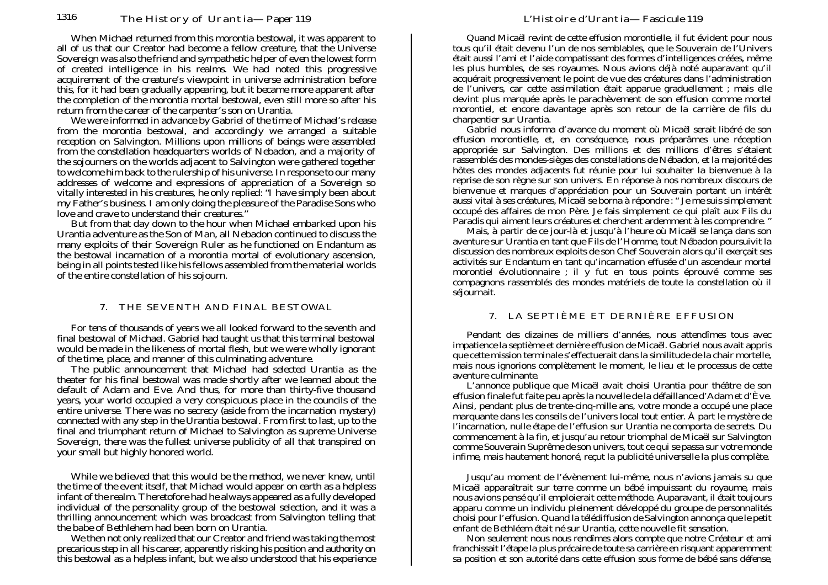When Michael returned from this morontia bestowal, it was apparent to all of us that our Creator had become a fellow creature, that the Universe Sovereign was also the friend and sympathetic helper of even the lowest form of created intelligence in his realms. We had noted this progressive acquirement of the creature's viewpoint in universe administration before this, for it had been gradually appearing, but it became more apparent after the completion of the morontia mortal bestowal, even still more so after his return from the career of the carpenter's son on Urantia.

We were informed in advance by Gabriel of the time of Michael's release from the morontia bestowal, and accordingly we arranged a suitable reception on Salvington. Millions upon millions of beings were assembled from the constellation headquarters worlds of Nebadon, and a majority of the sojourners on the worlds adjacent to Salvington were gathered together to welcome him back to the rulership of his universe. In response to our many addresses of welcome and expressions of appreciation of a Sovereign so vitally interested in his creatures, he only replied: "I have simply been about my Father's business. I am only doing the pleasure of the Paradise Sons who love and crave to understand their creatures."

But from that day down to the hour when Michael embarked upon his Urantia adventure as the Son of Man, all Nebadon continued to discuss the many exploits of their Sovereign Ruler as he functioned on Endantum as the bestowal incarnation of a morontia mortal of evolutionary ascension, being in all points tested like his fellows assembled from the material worlds of the entire constellation of his sojourn.

### 7. THE SEVENTH AND FINAL BESTOWAL

For tens of thousands of years we all looked forward to the seventh and final bestowal of Michael. Gabriel had taught us that this terminal bestowal would be made in the likeness of mortal flesh, but we were wholly ignorant of the time, place, and manner of this culminating adventure.

The public announcement that Michael had selected Urantia as the theater for his final bestowal was made shortly after we learned about the default of Adam and Eve. And thus, for more than thirty-five thousand years, your world occupied a very conspicuous place in the councils of the entire universe. There was no secrecy (aside from the incarnation mystery) connected with any step in the Urantia bestowal. From first to last, up to the final and triumphant return of Michael to Salvington as supreme Universe Sovereign, there was the fullest universe publicity of all that transpired on your small but highly honored world.

While we believed that this would be the method, we never knew, until the time of the event itself, that Michael would appear on earth as a helpless infant of the realm. Theretofore had he always appeared as a fully developed individual of the personality group of the bestowal selection, and it was a thrilling announcement which was broadcast from Salvington telling that the babe of Bethlehem had been born on Urantia.

We then not only realized that our Creator and friend was taking the most precarious step in all his career, apparently risking his position and authority on this bestowal as a helpless infant, but we also understood that his experience

Quand Micaël revint de cette effusion morontielle, il fut évident pour nous tous qu'il était devenu l'un de nos semblables, que le Souverain de l'Univers était aussi l'ami et l'aide compatissant des formes d'intelligences créées, même les plus humbles, de ses royaumes. Nous avions déjà noté auparavant qu'il acquérait progressivement le point de vue des créatures dans l'administration de l'univers, car cette assimilation était apparue graduellement ; mais elle devint plus marquée après le parachèvement de son effusion comme mortel morontiel, et encore davantage après son retour de la carrière de fils du charpentier sur Urantia.

Gabriel nous informa d'avance du moment où Micaël serait libéré de son effusion morontielle, et, en conséquence, nous préparâmes une réception appropriée sur Salvington. Des millions et des millions d'êtres s'étaient rassemblés des mondes-sièges des constellations de Nébadon, et la majorité des hôtes des mondes adjacents fut réunie pour lui souhaiter la bienvenue à la reprise de son règne sur son univers. En réponse à nos nombreux discours de bienvenue et marques d'appréciation pour un Souverain portant un intérêt aussi vital à ses créatures, Micaël se borna à répondre : " Je me suis simplement occupé des affaires de mon Père. Je fais simplement ce qui plaît aux Fils du Paradis qui aiment leurs créatures et cherchent ardemment à les comprendre. "

Mais, à partir de ce jour-là et jusqu'à l'heure où Micaël se lança dans son aventure sur Urantia en tant que Fils de l'Homme, tout Nébadon poursuivit la discussion des nombreux exploits de son Chef Souverain alors qu'il exerçait ses activités sur Endantum en tant qu'incarnation effusée d'un ascendeur mortel morontiel évolutionnaire ; il  $\hat{y}$  fut en tous points éprouvé comme ses compagnons rassemblés des mondes matériels de toute la constellation où il séjournait.

#### 7. LA SEPTIÈME ET DERNIÈRE EFFUSION

Pendant des dizaines de milliers d'années, nous attendîmes tous avec impatience la septième et dernière effusion de Micaël. Gabriel nous avait appris que cette mission terminale s'effectuerait dans la similitude de la chair mortelle, mais nous ignorions complètement le moment, le lieu et le processus de cette aventure culminante.

L'annonce publique que Micaël avait choisi Urantia pour théâtre de son effusion finale fut faite peu après la nouvelle de la défaillance d'Adam et d'Ève. Ainsi, pendant plus de trente-cinq-mille ans, votre monde a occupé une place marquante dans les conseils de l'univers local tout entier. À part le mystère de l'incarnation, nulle étape de l'effusion sur Urantia ne comporta de secrets. Du commencement à la fin, et jusqu'au retour triomphal de Micaël sur Salvington comme Souverain Suprême de son univers, tout ce qui se passa sur votre monde infime, mais hautement honoré, reçut la publicité universelle la plus complète.

Jusqu'au moment de l'évènement lui-même, nous n'avions jamais su que Micaël apparaîtrait sur terre comme un bébé impuissant du royaume, mais nous avions pensé qu'il emploierait cette méthode. Auparavant, il était toujours apparu comme un individu pleinement développé du groupe de personnalités choisi pour l'effusion. Quand la télédiffusion de Salvington annonça que le petit enfant de Bethléem était né sur Urantia, cette nouvelle fit sensation.

Non seulement nous nous rendîmes alors compte que notre Créateur et ami franchissait l'étape la plus précaire de toute sa carrière en risquant apparemment sa position et son autorité dans cette effusion sous forme de bébé sans défense,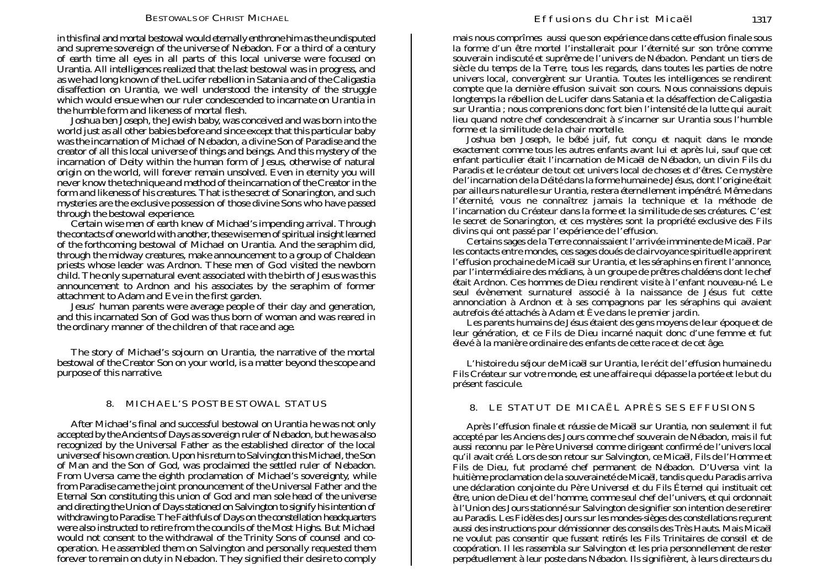in this final and mortal bestowal would eternally enthrone him as the undisputed and supreme sovereign of the universe of Nebadon. For a third of a century of earth time all eyes in all parts of this local universe were focused on Urantia. All intelligences realized that the last bestowal was in progress, and as we had long known of the Lucifer rebellion in Satania and of the Caligastia disaffection on Urantia, we well understood the intensity of the struggle which would ensue when our ruler condescended to incarnate on Urantia in the humble form and likeness of mortal flesh.

Joshua ben Joseph, the Jewish baby, was conceived and was born into the world just as all other babies before and since *except* that this particular baby was the incarnation of Michael of Nebadon, a divine Son of Paradise and the creator of all this local universe of things and beings. And this mystery of the incarnation of Deity within the human form of Jesus, otherwise of natural origin on the world, will forever remain unsolved. Even in eternity you will never know the technique and method of the incarnation of the Creator in the form and likeness of his creatures. That is the secret of Sonarington, and such mysteries are the exclusive possession of those divine Sons who have passed through the bestowal experience.

Certain wise men of earth knew of Michael's impending arrival. Through the contacts of one world with another, these wise men of spiritual insight learned of the forthcoming bestowal of Michael on Urantia. And the seraphim did, through the midway creatures, make announcement to a group of Chaldean priests whose leader was Ardnon. These men of God visited the newborn child. The only supernatural event associated with the birth of Jesus was this announcement to Ardnon and his associates by the seraphim of former attachment to Adam and Eve in the first garden.

Jesus' human parents were average people of their day and generation, and this incarnated Son of God was thus born of woman and was reared in the ordinary manner of the children of that race and age.

The story of Michael's sojourn on Urantia, the narrative of the mortal bestowal of the Creator Son on your world, is a matter beyond the scope and purpose of this narrative.

# 8. MICHAEL'S POSTBESTOWAL STATUS

After Michael's final and successful bestowal on Urantia he was not only accepted by the Ancients of Days as sovereign ruler of Nebadon, but he was also recognized by the Universal Father as the established director of the local universe of his own creation. Upon his return to Salvington this Michael, the Son of Man and the Son of God, was proclaimed the settled ruler of Nebadon. From Uversa came the eighth proclamation of Michael's sovereignty, while from Paradise came the joint pronouncement of the Universal Father and the Eternal Son constituting this union of God and man sole head of the universe and directing the Union of Days stationed on Salvington to signify his intention of withdrawing to Paradise. The Faithfuls of Days on the constellation headquarters were also instructed to retire from the councils of the Most Highs. But Michael would not consent to the withdrawal of the Trinity Sons of counsel and cooperation. He assembled them on Salvington and personally requested them forever to remain on duty in Nebadon. They signified their desire to comply

mais nous comprîmes aussi que son expérience dans cette effusion finale sous la forme d'un être mortel l'installerait pour l'éternité sur son trône comme souverain indiscuté et suprême de l'univers de Nébadon. Pendant un tiers de siècle du temps de la Terre, tous les regards, dans toutes les parties de notre univers local, convergèrent sur Urantia. Toutes les intelligences se rendirent compte que la dernière effusion suivait son cours. Nous connaissions depuis longtemps la rébellion de Lucifer dans Satania et la désaffection de Caligastia sur Urantia ; nous comprenions donc fort bien l'intensité de la lutte qui aurait lieu quand notre chef condescendrait à s'incarner sur Urantia sous l'humble forme et la similitude de la chair mortelle.

Joshua ben Joseph, le bébé juif, fut conçu et naquit dans le monde exactement comme tous les autres enfants avant lui et après lui, *sauf* que cet enfant particulier était l'incarnation de Micaël de Nébadon, un divin Fils du Paradis et le créateur de tout cet univers local de choses et d'êtres. Ce mystère de l'incarnation de la Déité dans la forme humaine de Jésus, dont l'origine était par ailleurs naturelle sur Urantia, restera éternellement impénétré. Même dans l'éternité, vous ne connaîtrez jamais la technique et la méthode de l'incarnation du Créateur dans la forme et la similitude de ses créatures. C'est le secret de Sonarington, et ces mystères sont la propriété exclusive des Fils divins qui ont passé par l'expérience de l'effusion.

Certains sages de la Terre connaissaient l'arrivée imminente de Micaël. Par les contacts entre mondes, ces sages doués de clairvoyance spirituelle apprirent l'effusion prochaine de Micaël sur Urantia, et les séraphins en firent l'annonce, par l'intermédiaire des médians, à un groupe de prêtres chaldéens dont le chef était Ardnon. Ces hommes de Dieu rendirent visite à l'enfant nouveau-né. Le seul évènement surnaturel associé à la naissance de Jésus fut cette annonciation à Ardnon et à ses compagnons par les séraphins qui avaient autrefois été attachés à Adam et Ève dans le premier jardin.

Les parents humains de Jésus étaient des gens moyens de leur époque et de leur génération, et ce Fils de Dieu incarné naquit donc d'une femme et fut élevé à la manière ordinaire des enfants de cette race et de cet âge.

L'histoire du séjour de Micaël sur Urantia, le récit de l'effusion humaine du Fils Créateur sur votre monde, est une affaire qui dépasse la portée et le but du présent fascicule.

# 8. LE STATUT DE MICAËL APRÈS SES EFFUSIONS

Après l'effusion finale et réussie de Micaël sur Urantia, non seulement il fut accepté par les Anciens des Jours comme chef souverain de Nébadon, mais il fut aussi reconnu par le Père Universel comme dirigeant confirmé de l'univers local qu'il avait créé. Lors de son retour sur Salvington, ce Micaël, Fils de l'Homme et Fils de Dieu, fut proclamé chef permanent de Nébadon. D'Uversa vint la huitième proclamation de la souveraineté de Micaël, tandis que du Paradis arriva une déclaration conjointe du Père Universel et du Fils Éternel qui instituait cet être, union de Dieu et de l'homme, comme seul chef de l'univers, et qui ordonnait à l'Union des Jours stationné sur Salvington de signifier son intention de se retirer au Paradis. Les Fidèles des Jours sur les mondes-sièges des constellations reçurent aussi des instructions pour démissionner des conseils des Très Hauts. Mais Micaël ne voulut pas consentir que fussent retirés les Fils Trinitaires de conseil et de coopération. Il les rassembla sur Salvington et les pria personnellement de rester perpétuellement à leur poste dans Nébadon. Ils signifièrent, à leurs directeurs du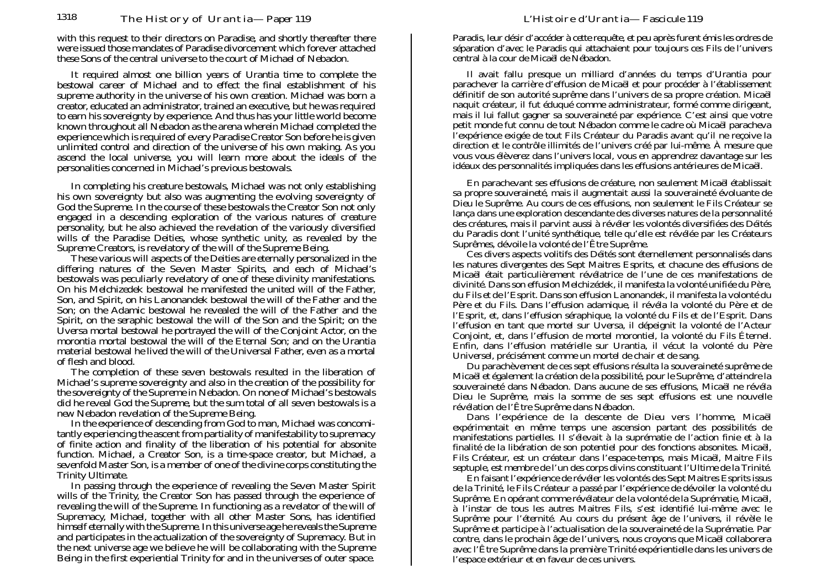with this request to their directors on Paradise, and shortly thereafter there were issued those mandates of Paradise divorcement which forever attached these Sons of the central universe to the court of Michael of Nebadon.

It required almost one billion years of Urantia time to complete the bestowal career of Michael and to effect the final establishment of his supreme authority in the universe of his own creation. Michael was born a creator, educated an administrator, trained an executive, but he was required to earn his sovereignty by experience. And thus has your little world become known throughout all Nebadon as the arena wherein Michael completed the experience which is required of every Paradise Creator Son before he is given unlimited control and direction of the universe of his own making. As you ascend the local universe, you will learn more about the ideals of the personalities concerned in Michael's previous bestowals.

In completing his creature bestowals, Michael was not only establishing his own sovereignty but also was augmenting the evolving sovereignty of God the Supreme. In the course of these bestowals the Creator Son not only engaged in a descending exploration of the various natures of creature personality, but he also achieved the revelation of the variously diversified wills of the Paradise Deities, whose synthetic unity, as revealed by the Supreme Creators, is revelatory of the will of the Supreme Being.

These various will aspects of the Deities are eternally personalized in the differing natures of the Seven Master Spirits, and each of Michael's bestowals was peculiarly revelatory of one of these divinity manifestations. On his Melchizedek bestowal he manifested the united will of the Father, Son, and Spirit, on his Lanonandek bestowal the will of the Father and the Son; on the Adamic bestowal he revealed the will of the Father and the Spirit, on the seraphic bestowal the will of the Son and the Spirit; on the Uversa mortal bestowal he portrayed the will of the Conjoint Actor, on the morontia mortal bestowal the will of the Eternal Son; and on the Urantia material bestowal he lived the will of the Universal Father, even as a mortal of flesh and blood.

The completion of these seven bestowals resulted in the liberation of Michael's supreme sovereignty and also in the creation of the possibility for the sovereignty of the Supreme in Nebadon. On none of Michael's bestowals did he reveal God the Supreme, but the sum total of all seven bestowals is a new Nebadon revelation of the Supreme Being.

In the experience of descending from God to man, Michael was concomitantly experiencing the ascent from partiality of manifestability to supremacy of finite action and finality of the liberation of his potential for absonite function. Michael, a Creator Son, is a time-space creator, but Michael, a sevenfold Master Son, is a member of one of the divine corps constituting the Trinity Ultimate.

In passing through the experience of revealing the Seven Master Spirit wills of the Trinity, the Creator Son has passed through the experience of revealing the will of the Supreme. In functioning as a revelator of the will of Supremacy, Michael, together with all other Master Sons, has identified himself eternally with the Supreme. In this universe age he reveals the Supreme and participates in the actualization of the sovereignty of Supremacy. But in the next universe age we believe he will be collaborating with the Supreme Being in the first experiential Trinity for and in the universes of outer space.

Paradis, leur désir d'accéder à cette requête, et peu après furent émis les ordres de séparation d'avec le Paradis qui attachaient pour toujours ces Fils de l'univers central à la cour de Micaël de Nébadon.

Il avait fallu presque un milliard d'années du temps d'Urantia pour parachever la carrière d'effusion de Micaël et pour procéder à l'établissement définitif de son autorité suprême dans l'univers de sa propre création. Micaël naquit créateur, il fut éduqué comme administrateur, formé comme dirigeant, mais il lui fallut gagner sa souveraineté par expérience. C'est ainsi que votre petit monde fut connu de tout Nébadon comme le cadre où Micaël paracheva l'expérience exigée de tout Fils Créateur du Paradis avant qu'il ne reçoive la direction et le contrôle illimités de l'univers créé par lui-même. À mesure que vous vous élèverez dans l'univers local, vous en apprendrez davantage sur les idéaux des personnalités impliquées dans les effusions antérieures de Micaël.

En parachevant ses effusions de créature, non seulement Micaël établissait sa propre souveraineté, mais il augmentait aussi la souveraineté évoluante de Dieu le Suprême. Au cours de ces effusions, non seulement le Fils Créateur se lança dans une exploration descendante des diverses natures de la personnalité des créatures, mais il parvint aussi à révéler les volontés diversifiées des Déités du Paradis dont l'unité synthétique, telle qu'elle est révélée par les Créateurs Suprêmes, dévoile la volonté de l'Être Suprême.

Ces divers aspects volitifs des Déités sont éternellement personnalisés dans les natures divergentes des Sept Maitres Esprits, et chacune des effusions de Micaël était particulièrement révélatrice de l'une de ces manifestations de divinité. Dans son effusion Melchizédek, il manifesta la volonté unifiée du Père, du Fils et de l'Esprit. Dans son effusion Lanonandek, il manifesta la volonté du Père et du Fils. Dans l'effusion adamique, il révéla la volonté du Père et de l'Esprit, et, dans l'effusion séraphique, la volonté du Fils et de l'Esprit. Dans l'effusion en tant que mortel sur Uversa, il dépeignit la volonté de l'Acteur Conjoint, et, dans l'effusion de mortel morontiel, la volonté du Fils Éternel. Enfin, dans l'effusion matérielle sur Urantia, il vécut la volonté du Père Universel, précisément comme un mortel de chair et de sang.

Du parachèvement de ces sept effusions résulta la souveraineté suprême de Micaël et également la création de la possibilité, pour le Suprême, d'atteindre la souveraineté dans Nébadon. Dans aucune de ses effusions, Micaël ne révéla Dieu le Suprême, mais la somme de ses sept effusions est une nouvelle révélation de l'Être Suprême dans Nébadon.

Dans l'expérience de la descente de Dieu vers l'homme, Micaël expérimentait en même temps une ascension partant des possibilités de manifestations partielles. Il s'élevait à la suprématie de l'action finie et à la finalité de la libération de son potentiel pour des fonctions absonites. Micaël, Fils Créateur, est un créateur dans l'espace-temps, mais Micaël, Maitre Fils septuple, est membre de l'un des corps divins constituant l'Ultime de la Trinité.

En faisant l'expérience de révéler les volontés des Sept Maitres Esprits issus de la Trinité, le Fils Créateur a passé par l'expérience de dévoiler la volonté du Suprême. En opérant comme révélateur de la volonté de la Suprématie, Micaël, à l'instar de tous les autres Maitres Fils, s'est identifié lui-même avec le Suprême pour l'éternité. Au cours du présent âge de l'univers, il révèle le Suprême et participe à l'actualisation de la souveraineté de la Suprématie. Par contre, dans le prochain âge de l'univers, nous croyons que Micaël collaborera avec l'Être Suprême dans la première Trinité expérientielle dans les univers de l'espace extérieur et en faveur de ces univers.